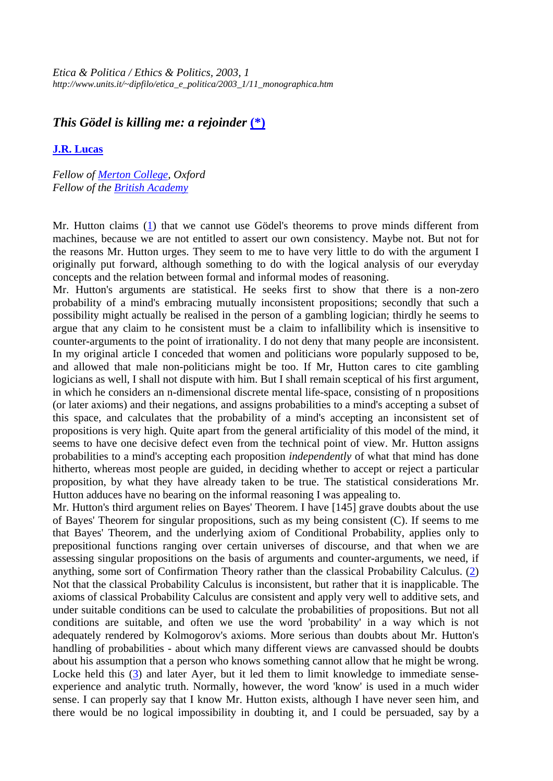*Etica & Politica / Ethics & Politics, 2003, 1 http://www.units.it/~dipfilo/etica\_e\_politica/2003\_1/11\_monographica.htm*

## *This Gödel is killing me: a rejoinder* **(\*)**

## **J.R. Lucas**

*Fellow of Merton College, Oxford Fellow of the British Academy* 

Mr. Hutton claims (1) that we cannot use Gödel's theorems to prove minds different from machines, because we are not entitled to assert our own consistency. Maybe not. But not for the reasons Mr. Hutton urges. They seem to me to have very little to do with the argument I originally put forward, although something to do with the logical analysis of our everyday concepts and the relation between formal and informal modes of reasoning.

Mr. Hutton's arguments are statistical. He seeks first to show that there is a non-zero probability of a mind's embracing mutually inconsistent propositions; secondly that such a possibility might actually be realised in the person of a gambling logician; thirdly he seems to argue that any claim to he consistent must be a claim to infallibility which is insensitive to counter-arguments to the point of irrationality. I do not deny that many people are inconsistent. In my original article I conceded that women and politicians wore popularly supposed to be, and allowed that male non-politicians might be too. If Mr, Hutton cares to cite gambling logicians as well, I shall not dispute with him. But I shall remain sceptical of his first argument, in which he considers an n-dimensional discrete mental life-space, consisting of n propositions (or later axioms) and their negations, and assigns probabilities to a mind's accepting a subset of this space, and calculates that the probability of a mind's accepting an inconsistent set of propositions is very high. Quite apart from the general artificiality of this model of the mind, it seems to have one decisive defect even from the technical point of view. Mr. Hutton assigns probabilities to a mind's accepting each proposition *independently* of what that mind has done hitherto, whereas most people are guided, in deciding whether to accept or reject a particular proposition, by what they have already taken to be true. The statistical considerations Mr. Hutton adduces have no bearing on the informal reasoning I was appealing to.

Mr. Hutton's third argument relies on Bayes' Theorem. I have [145] grave doubts about the use of Bayes' Theorem for singular propositions, such as my being consistent (C). If seems to me that Bayes' Theorem, and the underlying axiom of Conditional Probability, applies only to prepositional functions ranging over certain universes of discourse, and that when we are assessing singular propositions on the basis of arguments and counter-arguments, we need, if anything, some sort of Confirmation Theory rather than the classical Probability Calculus. (2) Not that the classical Probability Calculus is inconsistent, but rather that it is inapplicable. The axioms of classical Probability Calculus are consistent and apply very well to additive sets, and under suitable conditions can be used to calculate the probabilities of propositions. But not all conditions are suitable, and often we use the word 'probability' in a way which is not adequately rendered by Kolmogorov's axioms. More serious than doubts about Mr. Hutton's handling of probabilities - about which many different views are canvassed should be doubts about his assumption that a person who knows something cannot allow that he might be wrong. Locke held this (3) and later Ayer, but it led them to limit knowledge to immediate senseexperience and analytic truth. Normally, however, the word 'know' is used in a much wider sense. I can properly say that I know Mr. Hutton exists, although I have never seen him, and there would be no logical impossibility in doubting it, and I could be persuaded, say by a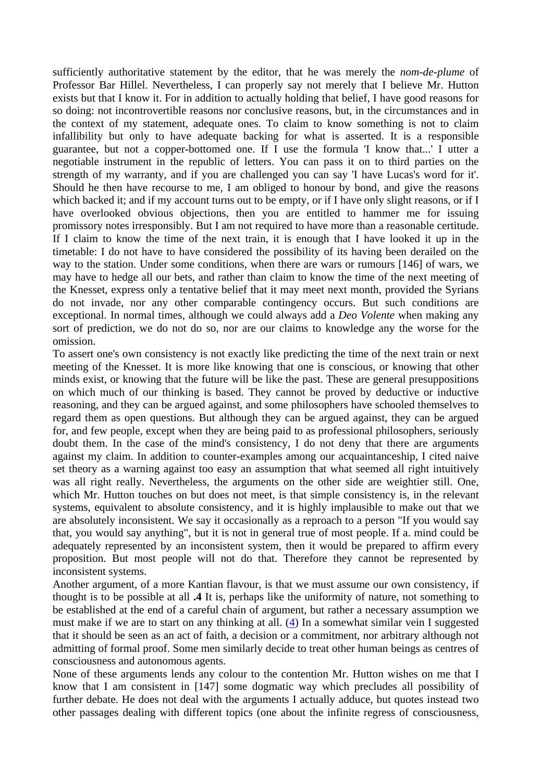sufficiently authoritative statement by the editor, that he was merely the *nom-de-plume* of Professor Bar Hillel. Nevertheless, I can properly say not merely that I believe Mr. Hutton exists but that I know it. For in addition to actually holding that belief, I have good reasons for so doing: not incontrovertible reasons nor conclusive reasons, but, in the circumstances and in the context of my statement, adequate ones. To claim to know something is not to claim infallibility but only to have adequate backing for what is asserted. It is a responsible guarantee, but not a copper-bottomed one. If I use the formula 'I know that...' I utter a negotiable instrument in the republic of letters. You can pass it on to third parties on the strength of my warranty, and if you are challenged you can say 'I have Lucas's word for it'. Should he then have recourse to me, I am obliged to honour by bond, and give the reasons which backed it; and if my account turns out to be empty, or if I have only slight reasons, or if I have overlooked obvious objections, then you are entitled to hammer me for issuing promissory notes irresponsibly. But I am not required to have more than a reasonable certitude. If I claim to know the time of the next train, it is enough that I have looked it up in the timetable: I do not have to have considered the possibility of its having been derailed on the way to the station. Under some conditions, when there are wars or rumours [146] of wars, we may have to hedge all our bets, and rather than claim to know the time of the next meeting of the Knesset, express only a tentative belief that it may meet next month, provided the Syrians do not invade, nor any other comparable contingency occurs. But such conditions are exceptional. In normal times, although we could always add a *Deo Volente* when making any sort of prediction, we do not do so, nor are our claims to knowledge any the worse for the omission.

To assert one's own consistency is not exactly like predicting the time of the next train or next meeting of the Knesset. It is more like knowing that one is conscious, or knowing that other minds exist, or knowing that the future will be like the past. These are general presuppositions on which much of our thinking is based. They cannot be proved by deductive or inductive reasoning, and they can be argued against, and some philosophers have schooled themselves to regard them as open questions. But although they can be argued against, they can be argued for, and few people, except when they are being paid to as professional philosophers, seriously doubt them. In the case of the mind's consistency, I do not deny that there are arguments against my claim. In addition to counter-examples among our acquaintanceship, I cited naive set theory as a warning against too easy an assumption that what seemed all right intuitively was all right really. Nevertheless, the arguments on the other side are weightier still. One, which Mr. Hutton touches on but does not meet, is that simple consistency is, in the relevant systems, equivalent to absolute consistency, and it is highly implausible to make out that we are absolutely inconsistent. We say it occasionally as a reproach to a person "If you would say that, you would say anything", but it is not in general true of most people. If a. mind could be adequately represented by an inconsistent system, then it would be prepared to affirm every proposition. But most people will not do that. Therefore they cannot be represented by inconsistent systems.

Another argument, of a more Kantian flavour, is that we must assume our own consistency, if thought is to be possible at all **.4** It is, perhaps like the uniformity of nature, not something to be established at the end of a careful chain of argument, but rather a necessary assumption we must make if we are to start on any thinking at all.  $(4)$  In a somewhat similar vein I suggested that it should be seen as an act of faith, a decision or a commitment, nor arbitrary although not admitting of formal proof. Some men similarly decide to treat other human beings as centres of consciousness and autonomous agents.

None of these arguments lends any colour to the contention Mr. Hutton wishes on me that I know that I am consistent in [147] some dogmatic way which precludes all possibility of further debate. He does not deal with the arguments I actually adduce, but quotes instead two other passages dealing with different topics (one about the infinite regress of consciousness,